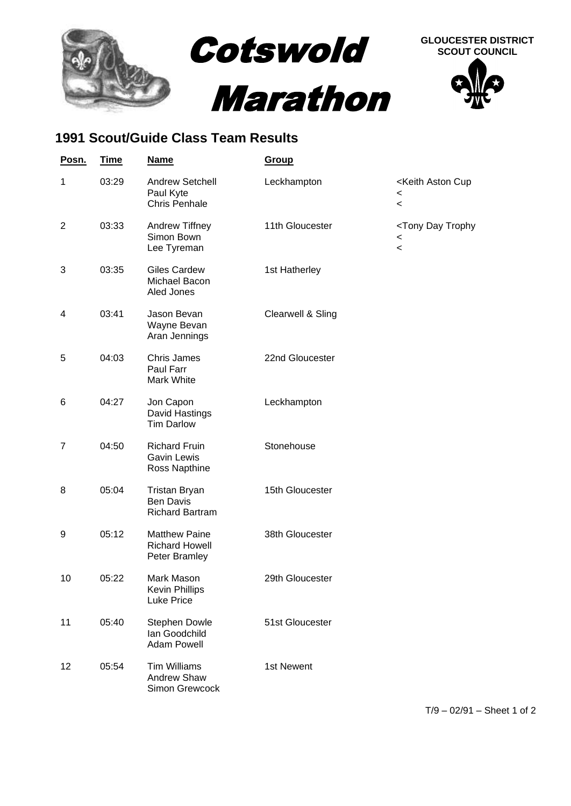

## **1991 Scout/Guide Class Team Results**

| Posn.          | <b>Time</b> | <b>Name</b>                                                        | Group             |                                                                                                 |
|----------------|-------------|--------------------------------------------------------------------|-------------------|-------------------------------------------------------------------------------------------------|
| 1              | 03:29       | <b>Andrew Setchell</b><br>Paul Kyte<br><b>Chris Penhale</b>        | Leckhampton       | <keith aston="" cup<br=""><math>\overline{\phantom{0}}</math><br/><math>\,&lt;\,</math></keith> |
| $\overline{2}$ | 03:33       | Andrew Tiffney<br>Simon Bown<br>Lee Tyreman                        | 11th Gloucester   | <tony day="" trophy<br=""><math>\,&lt;\,</math><br/><math>\overline{\phantom{a}}</math></tony>  |
| 3              | 03:35       | <b>Giles Cardew</b><br>Michael Bacon<br>Aled Jones                 | 1st Hatherley     |                                                                                                 |
| 4              | 03:41       | Jason Bevan<br>Wayne Bevan<br>Aran Jennings                        | Clearwell & Sling |                                                                                                 |
| 5              | 04:03       | <b>Chris James</b><br>Paul Farr<br>Mark White                      | 22nd Gloucester   |                                                                                                 |
| 6              | 04:27       | Jon Capon<br>David Hastings<br><b>Tim Darlow</b>                   | Leckhampton       |                                                                                                 |
| 7              | 04:50       | <b>Richard Fruin</b><br><b>Gavin Lewis</b><br>Ross Napthine        | Stonehouse        |                                                                                                 |
| 8              | 05:04       | <b>Tristan Bryan</b><br><b>Ben Davis</b><br><b>Richard Bartram</b> | 15th Gloucester   |                                                                                                 |
| 9              | 05:12       | <b>Matthew Paine</b><br><b>Richard Howell</b><br>Peter Bramley     | 38th Gloucester   |                                                                                                 |
| 10             | 05:22       | Mark Mason<br><b>Kevin Phillips</b><br><b>Luke Price</b>           | 29th Gloucester   |                                                                                                 |
| 11             | 05:40       | Stephen Dowle<br>Ian Goodchild<br><b>Adam Powell</b>               | 51st Gloucester   |                                                                                                 |
| 12             | 05:54       | <b>Tim Williams</b><br>Andrew Shaw<br>Simon Grewcock               | 1st Newent        |                                                                                                 |